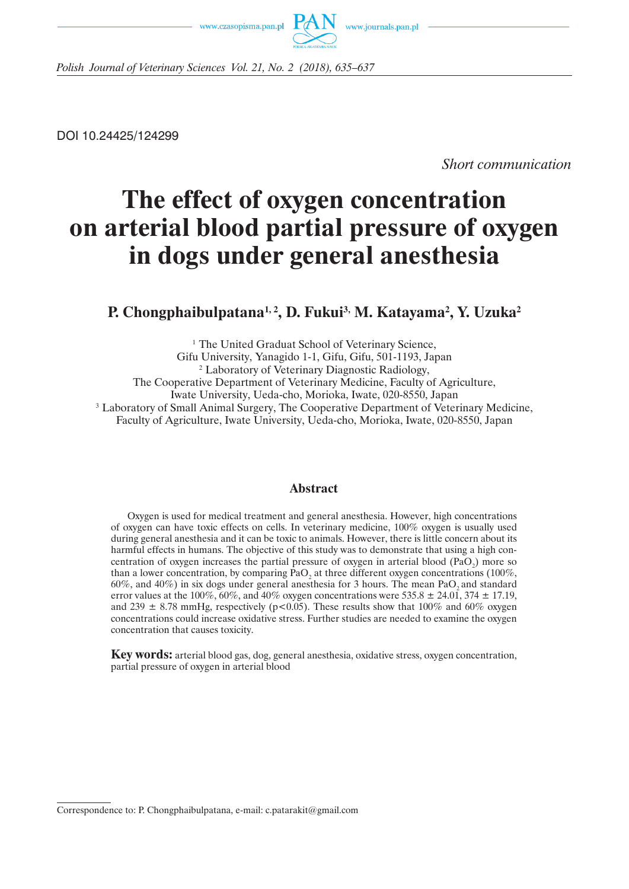www.czasopisma.pan.pl



*Polish Journal of Veterinary Sciences Vol. 21, No. 2 (2018), 635–637*

DOI 10.24425/124299

*Short communication*

# **The effect of oxygen concentration on arterial blood partial pressure of oxygen in dogs under general anesthesia**

## **P. Chongphaibulpatana1, 2, D. Fukui3, M. Katayama2 , Y. Uzuka2**

<sup>1</sup> The United Graduat School of Veterinary Science, Gifu University, Yanagido 1-1, Gifu, Gifu, 501-1193, Japan 2 Laboratory of Veterinary Diagnostic Radiology, The Cooperative Department of Veterinary Medicine, Faculty of Agriculture, Iwate University, Ueda-cho, Morioka, Iwate, 020-8550, Japan 3 Laboratory of Small Animal Surgery, The Cooperative Department of Veterinary Medicine, Faculty of Agriculture, Iwate University, Ueda-cho, Morioka, Iwate, 020-8550, Japan

#### **Abstract**

Oxygen is used for medical treatment and general anesthesia. However, high concentrations of oxygen can have toxic effects on cells. In veterinary medicine, 100% oxygen is usually used during general anesthesia and it can be toxic to animals. However, there is little concern about its harmful effects in humans. The objective of this study was to demonstrate that using a high concentration of oxygen increases the partial pressure of oxygen in arterial blood  $(PaO<sub>2</sub>)$  more so than a lower concentration, by comparing  $PaO<sub>2</sub>$  at three different oxygen concentrations (100%,  $60\%$ , and  $40\%$ ) in six dogs under general anesthesia for 3 hours. The mean PaO, and standard error values at the 100%, 60%, and 40% oxygen concentrations were 535.8  $\pm$  24.01, 374  $\pm$  17.19, and 239  $\pm$  8.78 mmHg, respectively (p<0.05). These results show that 100% and 60% oxygen concentrations could increase oxidative stress. Further studies are needed to examine the oxygen concentration that causes toxicity.

**Key words:** arterial blood gas, dog, general anesthesia, oxidative stress, oxygen concentration, partial pressure of oxygen in arterial blood

Correspondence to: P. Chongphaibulpatana, e-mail: c.patarakit@gmail.com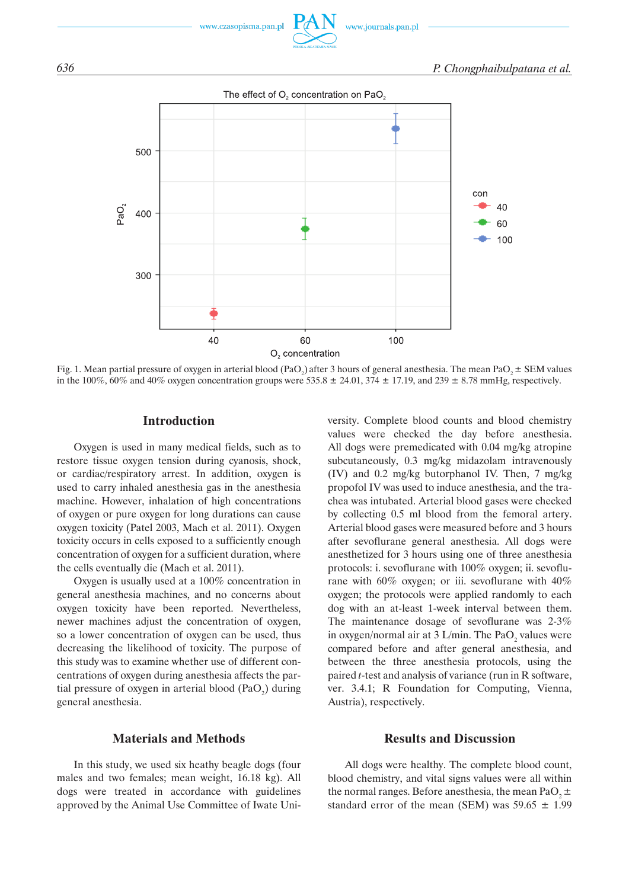



Fig. 1. Mean partial pressure of oxygen in arterial blood (PaO<sub>2</sub>) after 3 hours of general anesthesia. The mean PaO<sub>2</sub>  $\pm$  SEM values in the 100%, 60% and 40% oxygen concentration groups were 535.8  $\pm$  24.01, 374  $\pm$  17.19, and 239  $\pm$  8.78 mmHg, respectively.

#### **Introduction**

Oxygen is used in many medical fields, such as to restore tissue oxygen tension during cyanosis, shock, or cardiac/respiratory arrest. In addition, oxygen is used to carry inhaled anesthesia gas in the anesthesia machine. However, inhalation of high concentrations of oxygen or pure oxygen for long durations can cause oxygen toxicity (Patel 2003, Mach et al. 2011). Oxygen toxicity occurs in cells exposed to a sufficiently enough concentration of oxygen for a sufficient duration, where the cells eventually die (Mach et al. 2011).

Oxygen is usually used at a 100% concentration in general anesthesia machines, and no concerns about oxygen toxicity have been reported. Nevertheless, newer machines adjust the concentration of oxygen, so a lower concentration of oxygen can be used, thus decreasing the likelihood of toxicity. The purpose of this study was to examine whether use of different concentrations of oxygen during anesthesia affects the partial pressure of oxygen in arterial blood  $(PaO<sub>2</sub>)$  during general anesthesia.

#### **Materials and Methods**

In this study, we used six heathy beagle dogs (four males and two females; mean weight, 16.18 kg). All dogs were treated in accordance with guidelines approved by the Animal Use Committee of Iwate University. Complete blood counts and blood chemistry values were checked the day before anesthesia. All dogs were premedicated with 0.04 mg/kg atropine subcutaneously, 0.3 mg/kg midazolam intravenously (IV) and 0.2 mg/kg butorphanol IV. Then, 7 mg/kg propofol IV was used to induce anesthesia, and the trachea was intubated. Arterial blood gases were checked by collecting 0.5 ml blood from the femoral artery. Arterial blood gases were measured before and 3 hours after sevoflurane general anesthesia. All dogs were anesthetized for 3 hours using one of three anesthesia protocols: i. sevoflurane with 100% oxygen; ii. sevoflurane with 60% oxygen; or iii. sevoflurane with 40% oxygen; the protocols were applied randomly to each dog with an at-least 1-week interval between them. The maintenance dosage of sevoflurane was 2-3% in oxygen/normal air at  $3$  L/min. The PaO<sub>2</sub> values were compared before and after general anesthesia, and between the three anesthesia protocols, using the paired *t*-test and analysis of variance (run in R software, ver. 3.4.1; R Foundation for Computing, Vienna, Austria), respectively.

### **Results and Discussion**

All dogs were healthy. The complete blood count, blood chemistry, and vital signs values were all within the normal ranges. Before anesthesia, the mean PaO<sub>2</sub>  $\pm$ standard error of the mean (SEM) was  $59.65 \pm 1.99$